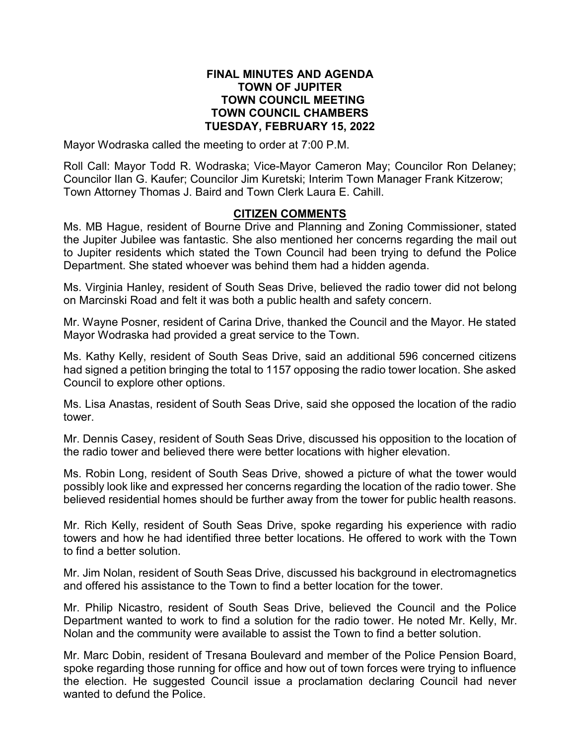#### **FINAL MINUTES AND AGENDA TOWN OF JUPITER TOWN COUNCIL MEETING TOWN COUNCIL CHAMBERS TUESDAY, FEBRUARY 15, 2022**

Mayor Wodraska called the meeting to order at 7:00 P.M.

Roll Call: Mayor Todd R. Wodraska; Vice-Mayor Cameron May; Councilor Ron Delaney; Councilor Ilan G. Kaufer; Councilor Jim Kuretski; Interim Town Manager Frank Kitzerow; Town Attorney Thomas J. Baird and Town Clerk Laura E. Cahill.

#### **CITIZEN COMMENTS**

Ms. MB Hague, resident of Bourne Drive and Planning and Zoning Commissioner, stated the Jupiter Jubilee was fantastic. She also mentioned her concerns regarding the mail out to Jupiter residents which stated the Town Council had been trying to defund the Police Department. She stated whoever was behind them had a hidden agenda.

Ms. Virginia Hanley, resident of South Seas Drive, believed the radio tower did not belong on Marcinski Road and felt it was both a public health and safety concern.

Mr. Wayne Posner, resident of Carina Drive, thanked the Council and the Mayor. He stated Mayor Wodraska had provided a great service to the Town.

Ms. Kathy Kelly, resident of South Seas Drive, said an additional 596 concerned citizens had signed a petition bringing the total to 1157 opposing the radio tower location. She asked Council to explore other options.

Ms. Lisa Anastas, resident of South Seas Drive, said she opposed the location of the radio tower.

Mr. Dennis Casey, resident of South Seas Drive, discussed his opposition to the location of the radio tower and believed there were better locations with higher elevation.

Ms. Robin Long, resident of South Seas Drive, showed a picture of what the tower would possibly look like and expressed her concerns regarding the location of the radio tower. She believed residential homes should be further away from the tower for public health reasons.

Mr. Rich Kelly, resident of South Seas Drive, spoke regarding his experience with radio towers and how he had identified three better locations. He offered to work with the Town to find a better solution.

Mr. Jim Nolan, resident of South Seas Drive, discussed his background in electromagnetics and offered his assistance to the Town to find a better location for the tower.

Mr. Philip Nicastro, resident of South Seas Drive, believed the Council and the Police Department wanted to work to find a solution for the radio tower. He noted Mr. Kelly, Mr. Nolan and the community were available to assist the Town to find a better solution.

Mr. Marc Dobin, resident of Tresana Boulevard and member of the Police Pension Board, spoke regarding those running for office and how out of town forces were trying to influence the election. He suggested Council issue a proclamation declaring Council had never wanted to defund the Police.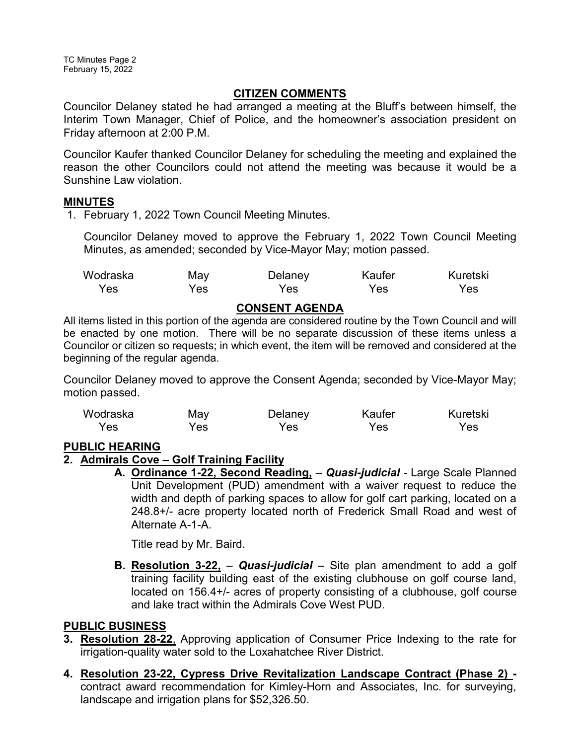## **CITIZEN COMMENTS**

Councilor Delaney stated he had arranged a meeting at the Bluff's between himself, the Interim Town Manager, Chief of Police, and the homeowner's association president on Friday afternoon at 2:00 P.M.

Councilor Kaufer thanked Councilor Delaney for scheduling the meeting and explained the reason the other Councilors could not attend the meeting was because it would be a Sunshine Law violation.

## **MINUTES**

1. February 1, 2022 Town Council Meeting Minutes.

Councilor Delaney moved to approve the February 1, 2022 Town Council Meeting Minutes, as amended; seconded by Vice-Mayor May; motion passed.

| Wodraska | May | Delaney | Kaufer | Kuretski |
|----------|-----|---------|--------|----------|
| Yes      | Yes | Yes     | Yes    | Yes.     |

#### **CONSENT AGENDA**

All items listed in this portion of the agenda are considered routine by the Town Council and will be enacted by one motion. There will be no separate discussion of these items unless a Councilor or citizen so requests; in which event, the item will be removed and considered at the beginning of the regular agenda.

Councilor Delaney moved to approve the Consent Agenda; seconded by Vice-Mayor May; motion passed.

| Wodraska | May | Delaney | Kaufer | Kuretski |
|----------|-----|---------|--------|----------|
| Yes      | Yes | Yes     | Yes    | Yes.     |

## **PUBLIC HEARING**

## **2. Admirals Cove – Golf Training Facility**

**A. Ordinance 1-22, Second Reading,** – *Quasi-judicial -* Large Scale Planned Unit Development (PUD) amendment with a waiver request to reduce the width and depth of parking spaces to allow for golf cart parking, located on a 248.8+/- acre property located north of Frederick Small Road and west of Alternate A-1-A.

Title read by Mr. Baird.

**B. Resolution 3-22,** – *Quasi-judicial* – Site plan amendment to add a golf training facility building east of the existing clubhouse on golf course land, located on 156.4+/- acres of property consisting of a clubhouse, golf course and lake tract within the Admirals Cove West PUD.

## **PUBLIC BUSINESS**

- **3. Resolution 28-22**, Approving application of Consumer Price Indexing to the rate for irrigation-quality water sold to the Loxahatchee River District.
- **4. Resolution 23-22, Cypress Drive Revitalization Landscape Contract (Phase 2)**  contract award recommendation for Kimley-Horn and Associates, Inc. for surveying, landscape and irrigation plans for \$52,326.50.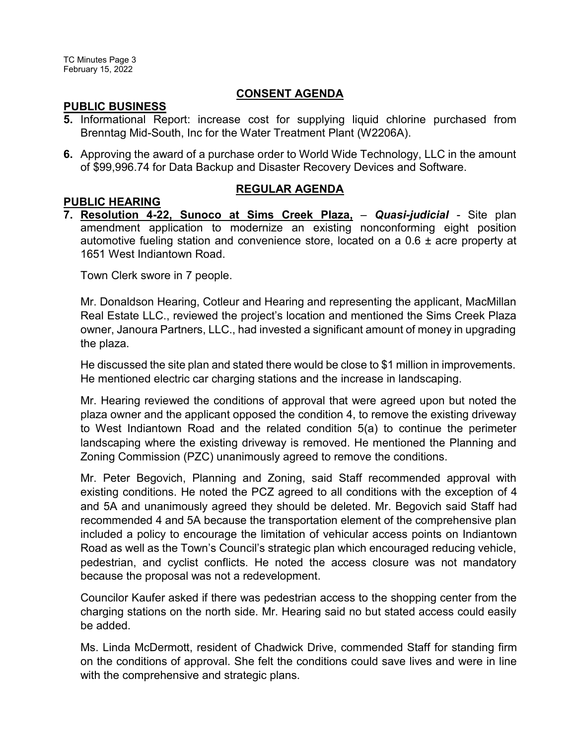# **CONSENT AGENDA**

## **PUBLIC BUSINESS**

- **5.** Informational Report: increase cost for supplying liquid chlorine purchased from Brenntag Mid-South, Inc for the Water Treatment Plant (W2206A).
- **6.** Approving the award of a purchase order to World Wide Technology, LLC in the amount of \$99,996.74 for Data Backup and Disaster Recovery Devices and Software.

# **REGULAR AGENDA**

**PUBLIC HEARING 7. Resolution 4-22, Sunoco at Sims Creek Plaza,** – *Quasi-judicial -* Site plan amendment application to modernize an existing nonconforming eight position automotive fueling station and convenience store, located on a 0.6 ± acre property at 1651 West Indiantown Road.

Town Clerk swore in 7 people.

Mr. Donaldson Hearing, Cotleur and Hearing and representing the applicant, MacMillan Real Estate LLC., reviewed the project's location and mentioned the Sims Creek Plaza owner, Janoura Partners, LLC., had invested a significant amount of money in upgrading the plaza.

He discussed the site plan and stated there would be close to \$1 million in improvements. He mentioned electric car charging stations and the increase in landscaping.

Mr. Hearing reviewed the conditions of approval that were agreed upon but noted the plaza owner and the applicant opposed the condition 4, to remove the existing driveway to West Indiantown Road and the related condition 5(a) to continue the perimeter landscaping where the existing driveway is removed. He mentioned the Planning and Zoning Commission (PZC) unanimously agreed to remove the conditions.

Mr. Peter Begovich, Planning and Zoning, said Staff recommended approval with existing conditions. He noted the PCZ agreed to all conditions with the exception of 4 and 5A and unanimously agreed they should be deleted. Mr. Begovich said Staff had recommended 4 and 5A because the transportation element of the comprehensive plan included a policy to encourage the limitation of vehicular access points on Indiantown Road as well as the Town's Council's strategic plan which encouraged reducing vehicle, pedestrian, and cyclist conflicts. He noted the access closure was not mandatory because the proposal was not a redevelopment.

Councilor Kaufer asked if there was pedestrian access to the shopping center from the charging stations on the north side. Mr. Hearing said no but stated access could easily be added.

Ms. Linda McDermott, resident of Chadwick Drive, commended Staff for standing firm on the conditions of approval. She felt the conditions could save lives and were in line with the comprehensive and strategic plans.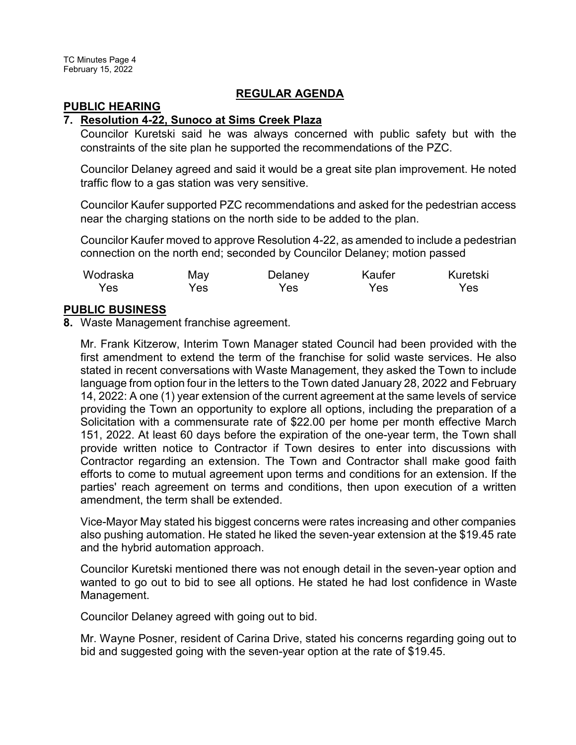## **REGULAR AGENDA**

#### **PUBLIC HEARING**

#### **7. Resolution 4-22, Sunoco at Sims Creek Plaza**

Councilor Kuretski said he was always concerned with public safety but with the constraints of the site plan he supported the recommendations of the PZC.

Councilor Delaney agreed and said it would be a great site plan improvement. He noted traffic flow to a gas station was very sensitive.

Councilor Kaufer supported PZC recommendations and asked for the pedestrian access near the charging stations on the north side to be added to the plan.

Councilor Kaufer moved to approve Resolution 4-22, as amended to include a pedestrian connection on the north end; seconded by Councilor Delaney; motion passed

| Wodraska | May | Delaney | Kaufer | Kuretski |
|----------|-----|---------|--------|----------|
| Yes      | Yes | Yes     | Yes    | Yes      |

## **PUBLIC BUSINESS**

**8.** Waste Management franchise agreement.

Mr. Frank Kitzerow, Interim Town Manager stated Council had been provided with the first amendment to extend the term of the franchise for solid waste services. He also stated in recent conversations with Waste Management, they asked the Town to include language from option four in the letters to the Town dated January 28, 2022 and February 14, 2022: A one (1) year extension of the current agreement at the same levels of service providing the Town an opportunity to explore all options, including the preparation of a Solicitation with a commensurate rate of \$22.00 per home per month effective March 151, 2022. At least 60 days before the expiration of the one-year term, the Town shall provide written notice to Contractor if Town desires to enter into discussions with Contractor regarding an extension. The Town and Contractor shall make good faith efforts to come to mutual agreement upon terms and conditions for an extension. If the parties' reach agreement on terms and conditions, then upon execution of a written amendment, the term shall be extended.

Vice-Mayor May stated his biggest concerns were rates increasing and other companies also pushing automation. He stated he liked the seven-year extension at the \$19.45 rate and the hybrid automation approach.

Councilor Kuretski mentioned there was not enough detail in the seven-year option and wanted to go out to bid to see all options. He stated he had lost confidence in Waste Management.

Councilor Delaney agreed with going out to bid.

Mr. Wayne Posner, resident of Carina Drive, stated his concerns regarding going out to bid and suggested going with the seven-year option at the rate of \$19.45.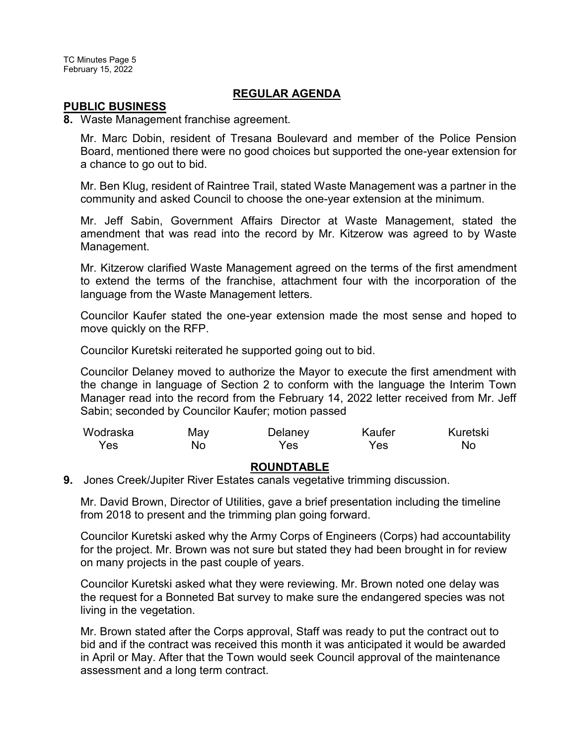TC Minutes Page 5 February 15, 2022

#### **REGULAR AGENDA**

#### **PUBLIC BUSINESS**

**8.** Waste Management franchise agreement.

Mr. Marc Dobin, resident of Tresana Boulevard and member of the Police Pension Board, mentioned there were no good choices but supported the one-year extension for a chance to go out to bid.

Mr. Ben Klug, resident of Raintree Trail, stated Waste Management was a partner in the community and asked Council to choose the one-year extension at the minimum.

Mr. Jeff Sabin, Government Affairs Director at Waste Management, stated the amendment that was read into the record by Mr. Kitzerow was agreed to by Waste Management.

Mr. Kitzerow clarified Waste Management agreed on the terms of the first amendment to extend the terms of the franchise, attachment four with the incorporation of the language from the Waste Management letters.

Councilor Kaufer stated the one-year extension made the most sense and hoped to move quickly on the RFP.

Councilor Kuretski reiterated he supported going out to bid.

Councilor Delaney moved to authorize the Mayor to execute the first amendment with the change in language of Section 2 to conform with the language the Interim Town Manager read into the record from the February 14, 2022 letter received from Mr. Jeff Sabin; seconded by Councilor Kaufer; motion passed

| Wodraska | May | Delaney | Kaufer | Kuretski |
|----------|-----|---------|--------|----------|
| Yes      | No. | Yes     | Yes    | No       |

#### **ROUNDTABLE**

**9.** Jones Creek/Jupiter River Estates canals vegetative trimming discussion.

Mr. David Brown, Director of Utilities, gave a brief presentation including the timeline from 2018 to present and the trimming plan going forward.

Councilor Kuretski asked why the Army Corps of Engineers (Corps) had accountability for the project. Mr. Brown was not sure but stated they had been brought in for review on many projects in the past couple of years.

Councilor Kuretski asked what they were reviewing. Mr. Brown noted one delay was the request for a Bonneted Bat survey to make sure the endangered species was not living in the vegetation.

Mr. Brown stated after the Corps approval, Staff was ready to put the contract out to bid and if the contract was received this month it was anticipated it would be awarded in April or May. After that the Town would seek Council approval of the maintenance assessment and a long term contract.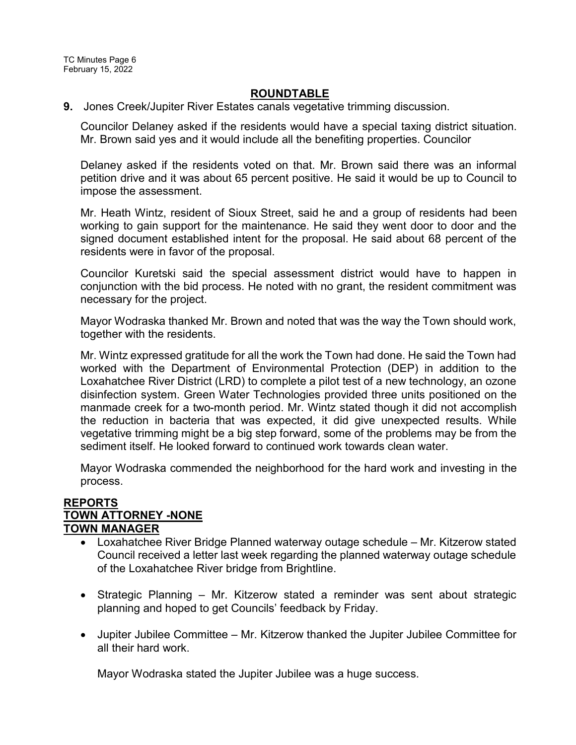#### **ROUNDTABLE**

**9.** Jones Creek/Jupiter River Estates canals vegetative trimming discussion.

Councilor Delaney asked if the residents would have a special taxing district situation. Mr. Brown said yes and it would include all the benefiting properties. Councilor

Delaney asked if the residents voted on that. Mr. Brown said there was an informal petition drive and it was about 65 percent positive. He said it would be up to Council to impose the assessment.

Mr. Heath Wintz, resident of Sioux Street, said he and a group of residents had been working to gain support for the maintenance. He said they went door to door and the signed document established intent for the proposal. He said about 68 percent of the residents were in favor of the proposal.

Councilor Kuretski said the special assessment district would have to happen in conjunction with the bid process. He noted with no grant, the resident commitment was necessary for the project.

Mayor Wodraska thanked Mr. Brown and noted that was the way the Town should work, together with the residents.

Mr. Wintz expressed gratitude for all the work the Town had done. He said the Town had worked with the Department of Environmental Protection (DEP) in addition to the Loxahatchee River District (LRD) to complete a pilot test of a new technology, an ozone disinfection system. Green Water Technologies provided three units positioned on the manmade creek for a two-month period. Mr. Wintz stated though it did not accomplish the reduction in bacteria that was expected, it did give unexpected results. While vegetative trimming might be a big step forward, some of the problems may be from the sediment itself. He looked forward to continued work towards clean water.

Mayor Wodraska commended the neighborhood for the hard work and investing in the process.

#### **REPORTS TOWN ATTORNEY -NONE TOWN MANAGER**

- · Loxahatchee River Bridge Planned waterway outage schedule Mr. Kitzerow stated Council received a letter last week regarding the planned waterway outage schedule of the Loxahatchee River bridge from Brightline.
- Strategic Planning Mr. Kitzerow stated a reminder was sent about strategic planning and hoped to get Councils' feedback by Friday.
- · Jupiter Jubilee Committee Mr. Kitzerow thanked the Jupiter Jubilee Committee for all their hard work.

Mayor Wodraska stated the Jupiter Jubilee was a huge success.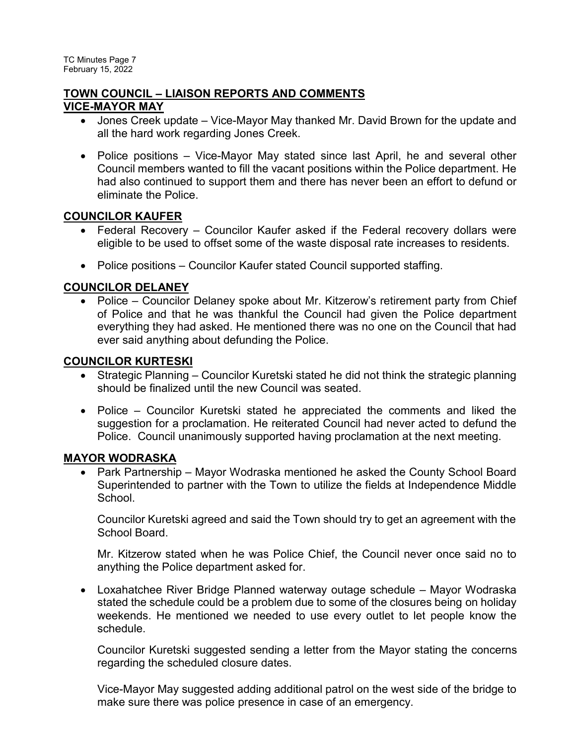## **TOWN COUNCIL – LIAISON REPORTS AND COMMENTS VICE-MAYOR MAY**

- · Jones Creek update Vice-Mayor May thanked Mr. David Brown for the update and all the hard work regarding Jones Creek.
- · Police positions Vice-Mayor May stated since last April, he and several other Council members wanted to fill the vacant positions within the Police department. He had also continued to support them and there has never been an effort to defund or eliminate the Police.

# **COUNCILOR KAUFER**

- · Federal Recovery Councilor Kaufer asked if the Federal recovery dollars were eligible to be used to offset some of the waste disposal rate increases to residents.
- Police positions Councilor Kaufer stated Council supported staffing.

# **COUNCILOR DELANEY**

• Police – Councilor Delaney spoke about Mr. Kitzerow's retirement party from Chief of Police and that he was thankful the Council had given the Police department everything they had asked. He mentioned there was no one on the Council that had ever said anything about defunding the Police.

# **COUNCILOR KURTESKI**

- Strategic Planning Councilor Kuretski stated he did not think the strategic planning should be finalized until the new Council was seated.
- Police Councilor Kuretski stated he appreciated the comments and liked the suggestion for a proclamation. He reiterated Council had never acted to defund the Police. Council unanimously supported having proclamation at the next meeting.

# **MAYOR WODRASKA**

• Park Partnership – Mayor Wodraska mentioned he asked the County School Board Superintended to partner with the Town to utilize the fields at Independence Middle **School** 

Councilor Kuretski agreed and said the Town should try to get an agreement with the School Board.

Mr. Kitzerow stated when he was Police Chief, the Council never once said no to anything the Police department asked for.

· Loxahatchee River Bridge Planned waterway outage schedule – Mayor Wodraska stated the schedule could be a problem due to some of the closures being on holiday weekends. He mentioned we needed to use every outlet to let people know the schedule.

Councilor Kuretski suggested sending a letter from the Mayor stating the concerns regarding the scheduled closure dates.

Vice-Mayor May suggested adding additional patrol on the west side of the bridge to make sure there was police presence in case of an emergency.